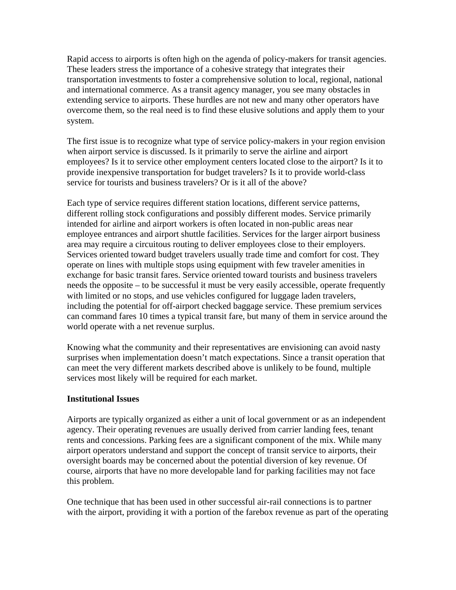Rapid access to airports is often high on the agenda of policy-makers for transit agencies. These leaders stress the importance of a cohesive strategy that integrates their transportation investments to foster a comprehensive solution to local, regional, national and international commerce. As a transit agency manager, you see many obstacles in extending service to airports. These hurdles are not new and many other operators have overcome them, so the real need is to find these elusive solutions and apply them to your system.

The first issue is to recognize what type of service policy-makers in your region envision when airport service is discussed. Is it primarily to serve the airline and airport employees? Is it to service other employment centers located close to the airport? Is it to provide inexpensive transportation for budget travelers? Is it to provide world-class service for tourists and business travelers? Or is it all of the above?

Each type of service requires different station locations, different service patterns, different rolling stock configurations and possibly different modes. Service primarily intended for airline and airport workers is often located in non-public areas near employee entrances and airport shuttle facilities. Services for the larger airport business area may require a circuitous routing to deliver employees close to their employers. Services oriented toward budget travelers usually trade time and comfort for cost. They operate on lines with multiple stops using equipment with few traveler amenities in exchange for basic transit fares. Service oriented toward tourists and business travelers needs the opposite – to be successful it must be very easily accessible, operate frequently with limited or no stops, and use vehicles configured for luggage laden travelers, including the potential for off-airport checked baggage service. These premium services can command fares 10 times a typical transit fare, but many of them in service around the world operate with a net revenue surplus.

Knowing what the community and their representatives are envisioning can avoid nasty surprises when implementation doesn't match expectations. Since a transit operation that can meet the very different markets described above is unlikely to be found, multiple services most likely will be required for each market.

### **Institutional Issues**

Airports are typically organized as either a unit of local government or as an independent agency. Their operating revenues are usually derived from carrier landing fees, tenant rents and concessions. Parking fees are a significant component of the mix. While many airport operators understand and support the concept of transit service to airports, their oversight boards may be concerned about the potential diversion of key revenue. Of course, airports that have no more developable land for parking facilities may not face this problem.

One technique that has been used in other successful air-rail connections is to partner with the airport, providing it with a portion of the farebox revenue as part of the operating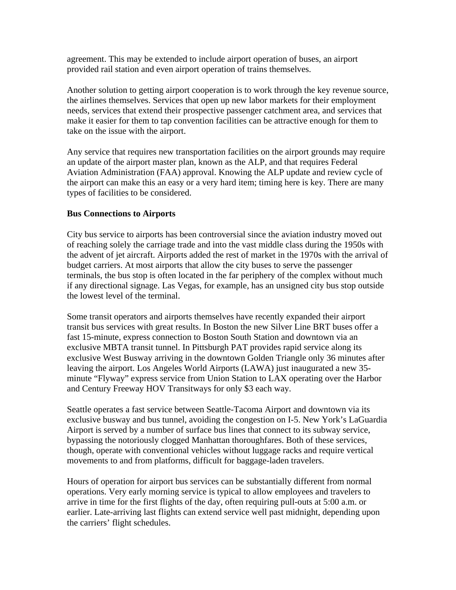agreement. This may be extended to include airport operation of buses, an airport provided rail station and even airport operation of trains themselves.

Another solution to getting airport cooperation is to work through the key revenue source, the airlines themselves. Services that open up new labor markets for their employment needs, services that extend their prospective passenger catchment area, and services that make it easier for them to tap convention facilities can be attractive enough for them to take on the issue with the airport.

Any service that requires new transportation facilities on the airport grounds may require an update of the airport master plan, known as the ALP, and that requires Federal Aviation Administration (FAA) approval. Knowing the ALP update and review cycle of the airport can make this an easy or a very hard item; timing here is key. There are many types of facilities to be considered.

## **Bus Connections to Airports**

City bus service to airports has been controversial since the aviation industry moved out of reaching solely the carriage trade and into the vast middle class during the 1950s with the advent of jet aircraft. Airports added the rest of market in the 1970s with the arrival of budget carriers. At most airports that allow the city buses to serve the passenger terminals, the bus stop is often located in the far periphery of the complex without much if any directional signage. Las Vegas, for example, has an unsigned city bus stop outside the lowest level of the terminal.

Some transit operators and airports themselves have recently expanded their airport transit bus services with great results. In Boston the new Silver Line BRT buses offer a fast 15-minute, express connection to Boston South Station and downtown via an exclusive MBTA transit tunnel. In Pittsburgh PAT provides rapid service along its exclusive West Busway arriving in the downtown Golden Triangle only 36 minutes after leaving the airport. Los Angeles World Airports (LAWA) just inaugurated a new 35 minute "Flyway" express service from Union Station to LAX operating over the Harbor and Century Freeway HOV Transitways for only \$3 each way.

Seattle operates a fast service between Seattle-Tacoma Airport and downtown via its exclusive busway and bus tunnel, avoiding the congestion on I-5. New York's LaGuardia Airport is served by a number of surface bus lines that connect to its subway service, bypassing the notoriously clogged Manhattan thoroughfares. Both of these services, though, operate with conventional vehicles without luggage racks and require vertical movements to and from platforms, difficult for baggage-laden travelers.

Hours of operation for airport bus services can be substantially different from normal operations. Very early morning service is typical to allow employees and travelers to arrive in time for the first flights of the day, often requiring pull-outs at 5:00 a.m. or earlier. Late-arriving last flights can extend service well past midnight, depending upon the carriers' flight schedules.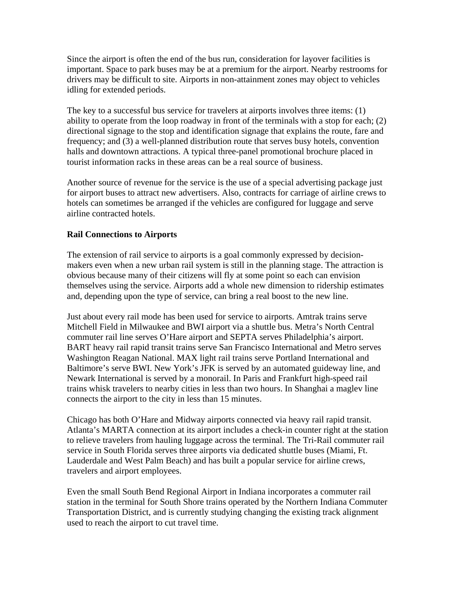Since the airport is often the end of the bus run, consideration for layover facilities is important. Space to park buses may be at a premium for the airport. Nearby restrooms for drivers may be difficult to site. Airports in non-attainment zones may object to vehicles idling for extended periods.

The key to a successful bus service for travelers at airports involves three items: (1) ability to operate from the loop roadway in front of the terminals with a stop for each; (2) directional signage to the stop and identification signage that explains the route, fare and frequency; and (3) a well-planned distribution route that serves busy hotels, convention halls and downtown attractions. A typical three-panel promotional brochure placed in tourist information racks in these areas can be a real source of business.

Another source of revenue for the service is the use of a special advertising package just for airport buses to attract new advertisers. Also, contracts for carriage of airline crews to hotels can sometimes be arranged if the vehicles are configured for luggage and serve airline contracted hotels.

## **Rail Connections to Airports**

The extension of rail service to airports is a goal commonly expressed by decisionmakers even when a new urban rail system is still in the planning stage. The attraction is obvious because many of their citizens will fly at some point so each can envision themselves using the service. Airports add a whole new dimension to ridership estimates and, depending upon the type of service, can bring a real boost to the new line.

Just about every rail mode has been used for service to airports. Amtrak trains serve Mitchell Field in Milwaukee and BWI airport via a shuttle bus. Metra's North Central commuter rail line serves O'Hare airport and SEPTA serves Philadelphia's airport. BART heavy rail rapid transit trains serve San Francisco International and Metro serves Washington Reagan National. MAX light rail trains serve Portland International and Baltimore's serve BWI. New York's JFK is served by an automated guideway line, and Newark International is served by a monorail. In Paris and Frankfurt high-speed rail trains whisk travelers to nearby cities in less than two hours. In Shanghai a maglev line connects the airport to the city in less than 15 minutes.

Chicago has both O'Hare and Midway airports connected via heavy rail rapid transit. Atlanta's MARTA connection at its airport includes a check-in counter right at the station to relieve travelers from hauling luggage across the terminal. The Tri-Rail commuter rail service in South Florida serves three airports via dedicated shuttle buses (Miami, Ft. Lauderdale and West Palm Beach) and has built a popular service for airline crews, travelers and airport employees.

Even the small South Bend Regional Airport in Indiana incorporates a commuter rail station in the terminal for South Shore trains operated by the Northern Indiana Commuter Transportation District, and is currently studying changing the existing track alignment used to reach the airport to cut travel time.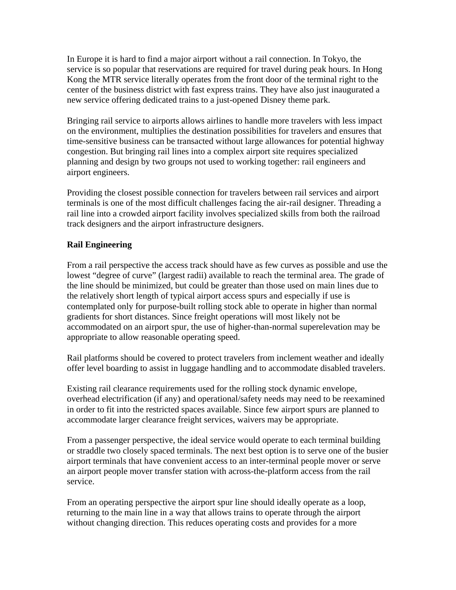In Europe it is hard to find a major airport without a rail connection. In Tokyo, the service is so popular that reservations are required for travel during peak hours. In Hong Kong the MTR service literally operates from the front door of the terminal right to the center of the business district with fast express trains. They have also just inaugurated a new service offering dedicated trains to a just-opened Disney theme park.

Bringing rail service to airports allows airlines to handle more travelers with less impact on the environment, multiplies the destination possibilities for travelers and ensures that time-sensitive business can be transacted without large allowances for potential highway congestion. But bringing rail lines into a complex airport site requires specialized planning and design by two groups not used to working together: rail engineers and airport engineers.

Providing the closest possible connection for travelers between rail services and airport terminals is one of the most difficult challenges facing the air-rail designer. Threading a rail line into a crowded airport facility involves specialized skills from both the railroad track designers and the airport infrastructure designers.

# **Rail Engineering**

From a rail perspective the access track should have as few curves as possible and use the lowest "degree of curve" (largest radii) available to reach the terminal area. The grade of the line should be minimized, but could be greater than those used on main lines due to the relatively short length of typical airport access spurs and especially if use is contemplated only for purpose-built rolling stock able to operate in higher than normal gradients for short distances. Since freight operations will most likely not be accommodated on an airport spur, the use of higher-than-normal superelevation may be appropriate to allow reasonable operating speed.

Rail platforms should be covered to protect travelers from inclement weather and ideally offer level boarding to assist in luggage handling and to accommodate disabled travelers.

Existing rail clearance requirements used for the rolling stock dynamic envelope, overhead electrification (if any) and operational/safety needs may need to be reexamined in order to fit into the restricted spaces available. Since few airport spurs are planned to accommodate larger clearance freight services, waivers may be appropriate.

From a passenger perspective, the ideal service would operate to each terminal building or straddle two closely spaced terminals. The next best option is to serve one of the busier airport terminals that have convenient access to an inter-terminal people mover or serve an airport people mover transfer station with across-the-platform access from the rail service.

From an operating perspective the airport spur line should ideally operate as a loop, returning to the main line in a way that allows trains to operate through the airport without changing direction. This reduces operating costs and provides for a more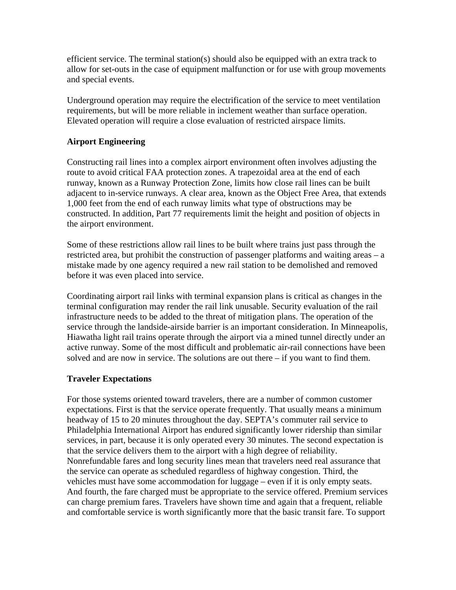efficient service. The terminal station(s) should also be equipped with an extra track to allow for set-outs in the case of equipment malfunction or for use with group movements and special events.

Underground operation may require the electrification of the service to meet ventilation requirements, but will be more reliable in inclement weather than surface operation. Elevated operation will require a close evaluation of restricted airspace limits.

# **Airport Engineering**

Constructing rail lines into a complex airport environment often involves adjusting the route to avoid critical FAA protection zones. A trapezoidal area at the end of each runway, known as a Runway Protection Zone, limits how close rail lines can be built adjacent to in-service runways. A clear area, known as the Object Free Area, that extends 1,000 feet from the end of each runway limits what type of obstructions may be constructed. In addition, Part 77 requirements limit the height and position of objects in the airport environment.

Some of these restrictions allow rail lines to be built where trains just pass through the restricted area, but prohibit the construction of passenger platforms and waiting areas – a mistake made by one agency required a new rail station to be demolished and removed before it was even placed into service.

Coordinating airport rail links with terminal expansion plans is critical as changes in the terminal configuration may render the rail link unusable. Security evaluation of the rail infrastructure needs to be added to the threat of mitigation plans. The operation of the service through the landside-airside barrier is an important consideration. In Minneapolis, Hiawatha light rail trains operate through the airport via a mined tunnel directly under an active runway. Some of the most difficult and problematic air-rail connections have been solved and are now in service. The solutions are out there – if you want to find them.

### **Traveler Expectations**

For those systems oriented toward travelers, there are a number of common customer expectations. First is that the service operate frequently. That usually means a minimum headway of 15 to 20 minutes throughout the day. SEPTA's commuter rail service to Philadelphia International Airport has endured significantly lower ridership than similar services, in part, because it is only operated every 30 minutes. The second expectation is that the service delivers them to the airport with a high degree of reliability. Nonrefundable fares and long security lines mean that travelers need real assurance that the service can operate as scheduled regardless of highway congestion. Third, the vehicles must have some accommodation for luggage – even if it is only empty seats. And fourth, the fare charged must be appropriate to the service offered. Premium services can charge premium fares. Travelers have shown time and again that a frequent, reliable and comfortable service is worth significantly more that the basic transit fare. To support